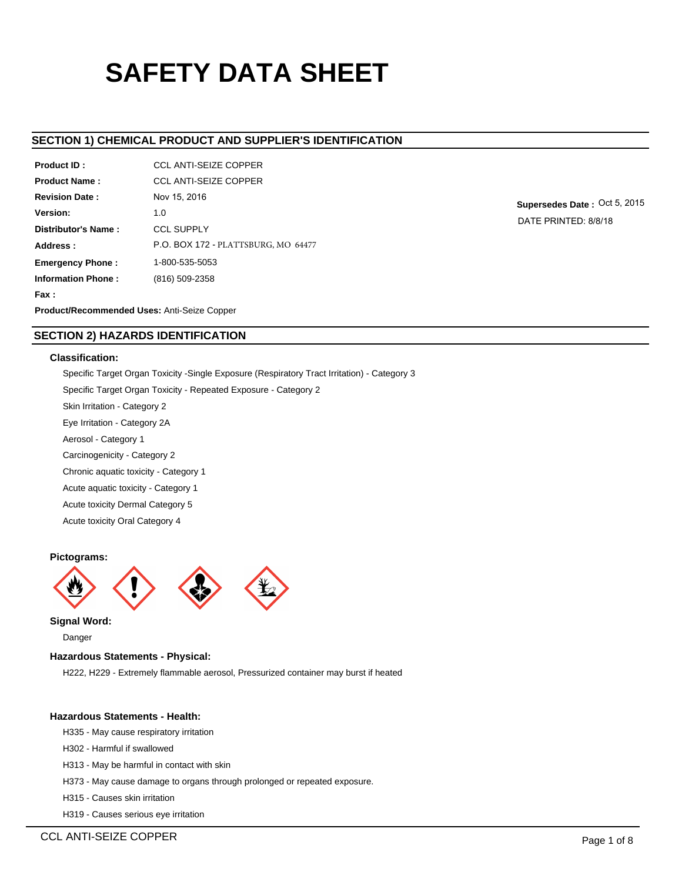# **SAFETY DATA SHEET**

# **SECTION 1) CHEMICAL PRODUCT AND SUPPLIER'S IDENTIFICATION**

| Product ID:                                        | <b>CCL ANTI-SEIZE COPPER</b>               |  |  |  |  |
|----------------------------------------------------|--------------------------------------------|--|--|--|--|
| <b>Product Name:</b>                               | <b>CCL ANTI-SEIZE COPPER</b>               |  |  |  |  |
| <b>Revision Date:</b>                              | Nov 15, 2016                               |  |  |  |  |
| Version:                                           | 1.0                                        |  |  |  |  |
| Distributor's Name:                                | <b>CCL SUPPLY</b>                          |  |  |  |  |
| Address:                                           | <b>P.O. BOX 172 - PLATTSBURG, MO 64477</b> |  |  |  |  |
| <b>Emergency Phone:</b>                            | 1-800-535-5053                             |  |  |  |  |
| <b>Information Phone:</b>                          | (816) 509-2358                             |  |  |  |  |
| Fax :                                              |                                            |  |  |  |  |
| <b>Product/Recommended Uses: Anti-Seize Conner</b> |                                            |  |  |  |  |

**Supersedes Date :** Oct 5, 2015 DATE PRINTED: 8/8/18

**ommended Uses:** Anti-Seize Copp

# **SECTION 2) HAZARDS IDENTIFICATION**

# **Classification:**

Specific Target Organ Toxicity -Single Exposure (Respiratory Tract Irritation) - Category 3 Specific Target Organ Toxicity - Repeated Exposure - Category 2 Skin Irritation - Category 2 Eye Irritation - Category 2A Aerosol - Category 1 Carcinogenicity - Category 2 Chronic aquatic toxicity - Category 1 Acute aquatic toxicity - Category 1 Acute toxicity Dermal Category 5 Acute toxicity Oral Category 4

# **Pictograms:**



**Signal Word:**

Danger

# **Hazardous Statements - Physical:**

H222, H229 - Extremely flammable aerosol, Pressurized container may burst if heated

# **Hazardous Statements - Health:**

- H335 May cause respiratory irritation
- H302 Harmful if swallowed
- H313 May be harmful in contact with skin
- H373 May cause damage to organs through prolonged or repeated exposure.
- H315 Causes skin irritation
- H319 Causes serious eye irritation

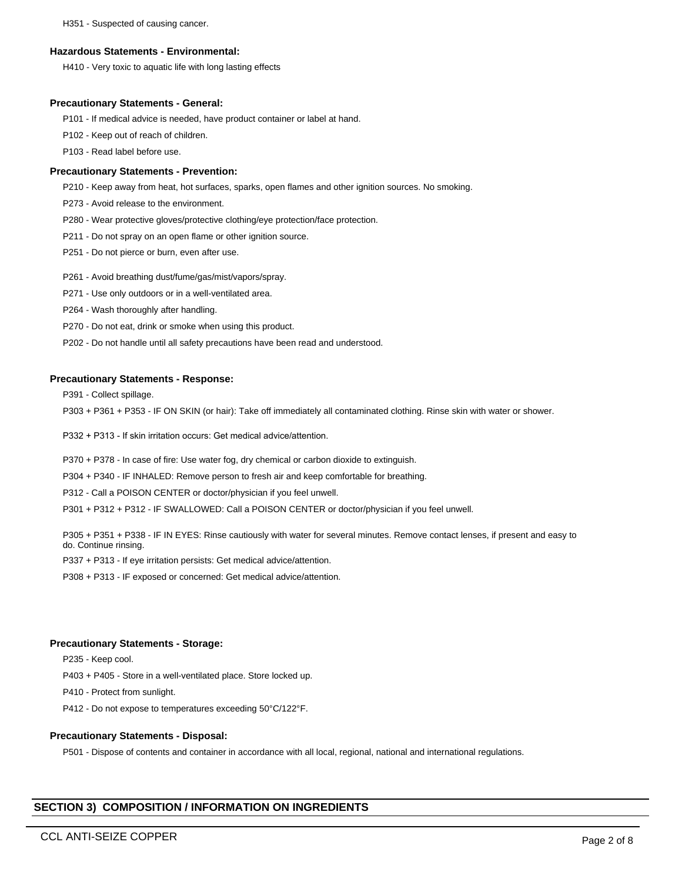H351 - Suspected of causing cancer.

## **Hazardous Statements - Environmental:**

H410 - Very toxic to aquatic life with long lasting effects

## **Precautionary Statements - General:**

P101 - If medical advice is needed, have product container or label at hand.

P102 - Keep out of reach of children.

P103 - Read label before use.

# **Precautionary Statements - Prevention:**

P210 - Keep away from heat, hot surfaces, sparks, open flames and other ignition sources. No smoking.

P273 - Avoid release to the environment.

P280 - Wear protective gloves/protective clothing/eye protection/face protection.

P211 - Do not spray on an open flame or other ignition source.

P251 - Do not pierce or burn, even after use.

P261 - Avoid breathing dust/fume/gas/mist/vapors/spray.

P271 - Use only outdoors or in a well-ventilated area.

P264 - Wash thoroughly after handling.

P270 - Do not eat, drink or smoke when using this product.

P202 - Do not handle until all safety precautions have been read and understood.

# **Precautionary Statements - Response:**

P391 - Collect spillage.

P303 + P361 + P353 - IF ON SKIN (or hair): Take off immediately all contaminated clothing. Rinse skin with water or shower.

P332 + P313 - If skin irritation occurs: Get medical advice/attention.

P370 + P378 - In case of fire: Use water fog, dry chemical or carbon dioxide to extinguish.

P304 + P340 - IF INHALED: Remove person to fresh air and keep comfortable for breathing.

P312 - Call a POISON CENTER or doctor/physician if you feel unwell.

P301 + P312 + P312 - IF SWALLOWED: Call a POISON CENTER or doctor/physician if you feel unwell.

P305 + P351 + P338 - IF IN EYES: Rinse cautiously with water for several minutes. Remove contact lenses, if present and easy to do. Continue rinsing.

P337 + P313 - If eye irritation persists: Get medical advice/attention.

P308 + P313 - IF exposed or concerned: Get medical advice/attention.

# **Precautionary Statements - Storage:**

P235 - Keep cool.

P403 + P405 - Store in a well-ventilated place. Store locked up.

P410 - Protect from sunlight.

P412 - Do not expose to temperatures exceeding 50°C/122°F.

# **Precautionary Statements - Disposal:**

P501 - Dispose of contents and container in accordance with all local, regional, national and international regulations.

# **SECTION 3) COMPOSITION / INFORMATION ON INGREDIENTS**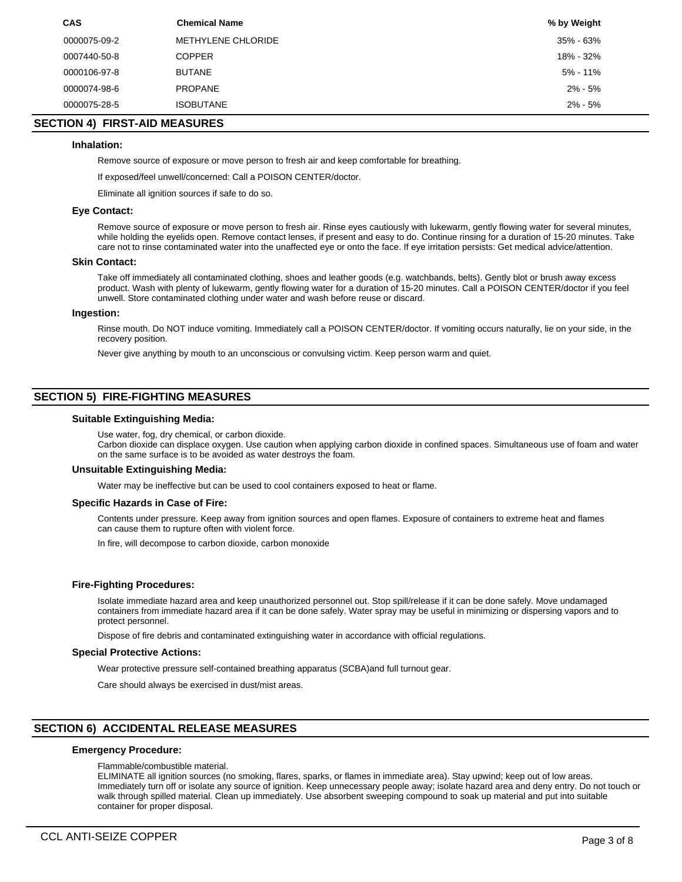| <b>CAS</b>   | <b>Chemical Name</b> | % by Weight |
|--------------|----------------------|-------------|
| 0000075-09-2 | METHYLENE CHLORIDE   | 35% - 63%   |
| 0007440-50-8 | <b>COPPER</b>        | 18% - 32%   |
| 0000106-97-8 | <b>BUTANE</b>        | 5% - 11%    |
| 0000074-98-6 | <b>PROPANE</b>       | $2\% - 5\%$ |
| 0000075-28-5 | <b>ISOBUTANE</b>     | $2\% - 5\%$ |

# **SECTION 4) FIRST-AID MEASURES**

# **Inhalation:**

Remove source of exposure or move person to fresh air and keep comfortable for breathing.

If exposed/feel unwell/concerned: Call a POISON CENTER/doctor.

Eliminate all ignition sources if safe to do so.

#### **Eye Contact:**

Remove source of exposure or move person to fresh air. Rinse eyes cautiously with lukewarm, gently flowing water for several minutes, while holding the eyelids open. Remove contact lenses, if present and easy to do. Continue rinsing for a duration of 15-20 minutes. Take care not to rinse contaminated water into the unaffected eye or onto the face. If eye irritation persists: Get medical advice/attention.

#### **Skin Contact:**

Take off immediately all contaminated clothing, shoes and leather goods (e.g. watchbands, belts). Gently blot or brush away excess product. Wash with plenty of lukewarm, gently flowing water for a duration of 15-20 minutes. Call a POISON CENTER/doctor if you feel unwell. Store contaminated clothing under water and wash before reuse or discard.

#### **Ingestion:**

Rinse mouth. Do NOT induce vomiting. Immediately call a POISON CENTER/doctor. If vomiting occurs naturally, lie on your side, in the recovery position.

Never give anything by mouth to an unconscious or convulsing victim. Keep person warm and quiet.

# **SECTION 5) FIRE-FIGHTING MEASURES**

#### **Suitable Extinguishing Media:**

Use water, fog, dry chemical, or carbon dioxide. Carbon dioxide can displace oxygen. Use caution when applying carbon dioxide in confined spaces. Simultaneous use of foam and water on the same surface is to be avoided as water destroys the foam.

#### **Unsuitable Extinguishing Media:**

Water may be ineffective but can be used to cool containers exposed to heat or flame.

#### **Specific Hazards in Case of Fire:**

Contents under pressure. Keep away from ignition sources and open flames. Exposure of containers to extreme heat and flames can cause them to rupture often with violent force.

In fire, will decompose to carbon dioxide, carbon monoxide

#### **Fire-Fighting Procedures:**

Isolate immediate hazard area and keep unauthorized personnel out. Stop spill/release if it can be done safely. Move undamaged containers from immediate hazard area if it can be done safely. Water spray may be useful in minimizing or dispersing vapors and to protect personnel.

Dispose of fire debris and contaminated extinguishing water in accordance with official regulations.

#### **Special Protective Actions:**

Wear protective pressure self-contained breathing apparatus (SCBA)and full turnout gear.

Care should always be exercised in dust/mist areas.

# **SECTION 6) ACCIDENTAL RELEASE MEASURES**

#### **Emergency Procedure:**

Flammable/combustible material.

ELIMINATE all ignition sources (no smoking, flares, sparks, or flames in immediate area). Stay upwind; keep out of low areas. Immediately turn off or isolate any source of ignition. Keep unnecessary people away; isolate hazard area and deny entry. Do not touch or walk through spilled material. Clean up immediately. Use absorbent sweeping compound to soak up material and put into suitable container for proper disposal.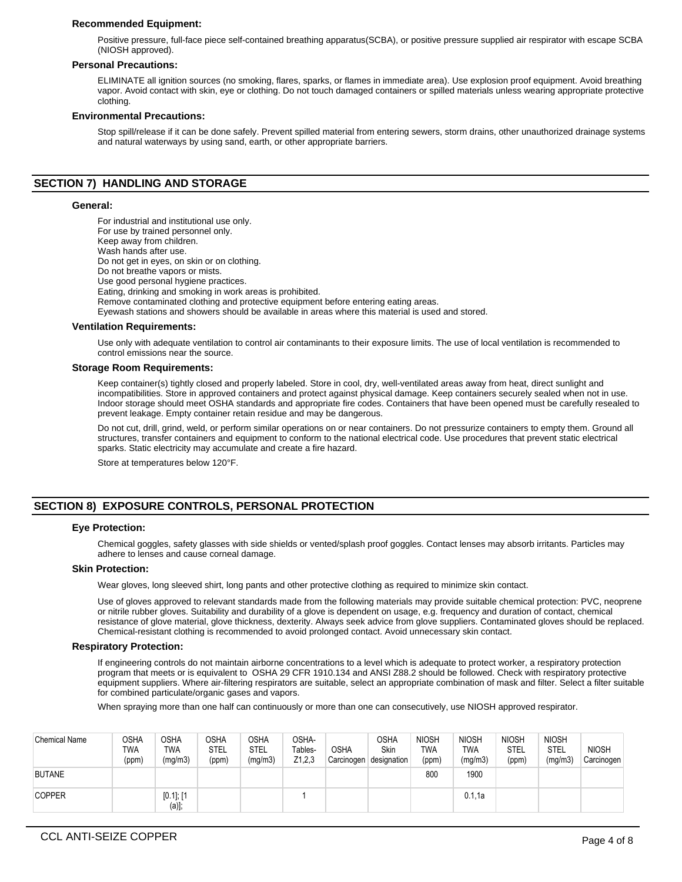## **Recommended Equipment:**

Positive pressure, full-face piece self-contained breathing apparatus(SCBA), or positive pressure supplied air respirator with escape SCBA (NIOSH approved).

#### **Personal Precautions:**

ELIMINATE all ignition sources (no smoking, flares, sparks, or flames in immediate area). Use explosion proof equipment. Avoid breathing vapor. Avoid contact with skin, eye or clothing. Do not touch damaged containers or spilled materials unless wearing appropriate protective clothing.

#### **Environmental Precautions:**

Stop spill/release if it can be done safely. Prevent spilled material from entering sewers, storm drains, other unauthorized drainage systems and natural waterways by using sand, earth, or other appropriate barriers.

# **SECTION 7) HANDLING AND STORAGE**

#### **General:**

For industrial and institutional use only. For use by trained personnel only. Keep away from children. Wash hands after use. Do not get in eyes, on skin or on clothing. Do not breathe vapors or mists. Use good personal hygiene practices. Eating, drinking and smoking in work areas is prohibited. Remove contaminated clothing and protective equipment before entering eating areas. Eyewash stations and showers should be available in areas where this material is used and stored.

#### **Ventilation Requirements:**

Use only with adequate ventilation to control air contaminants to their exposure limits. The use of local ventilation is recommended to control emissions near the source.

#### **Storage Room Requirements:**

Keep container(s) tightly closed and properly labeled. Store in cool, dry, well-ventilated areas away from heat, direct sunlight and incompatibilities. Store in approved containers and protect against physical damage. Keep containers securely sealed when not in use. Indoor storage should meet OSHA standards and appropriate fire codes. Containers that have been opened must be carefully resealed to prevent leakage. Empty container retain residue and may be dangerous.

Do not cut, drill, grind, weld, or perform similar operations on or near containers. Do not pressurize containers to empty them. Ground all structures, transfer containers and equipment to conform to the national electrical code. Use procedures that prevent static electrical sparks. Static electricity may accumulate and create a fire hazard.

Store at temperatures below 120°F.

# **SECTION 8) EXPOSURE CONTROLS, PERSONAL PROTECTION**

#### **Eye Protection:**

Chemical goggles, safety glasses with side shields or vented/splash proof goggles. Contact lenses may absorb irritants. Particles may adhere to lenses and cause corneal damage.

# **Skin Protection:**

Wear gloves, long sleeved shirt, long pants and other protective clothing as required to minimize skin contact.

Use of gloves approved to relevant standards made from the following materials may provide suitable chemical protection: PVC, neoprene or nitrile rubber gloves. Suitability and durability of a glove is dependent on usage, e.g. frequency and duration of contact, chemical resistance of glove material, glove thickness, dexterity. Always seek advice from glove suppliers. Contaminated gloves should be replaced. Chemical-resistant clothing is recommended to avoid prolonged contact. Avoid unnecessary skin contact.

#### **Respiratory Protection:**

If engineering controls do not maintain airborne concentrations to a level which is adequate to protect worker, a respiratory protection program that meets or is equivalent to OSHA 29 CFR 1910.134 and ANSI Z88.2 should be followed. Check with respiratory protective equipment suppliers. Where air-filtering respirators are suitable, select an appropriate combination of mask and filter. Select a filter suitable for combined particulate/organic gases and vapors.

When spraying more than one half can continuously or more than one can consecutively, use NIOSH approved respirator.

| <b>Chemical Name</b> | OSHA<br><b>TWA</b><br>(ppm) | <b>OSHA</b><br>TWA<br>(mg/m3) | <b>OSHA</b><br>STEL<br>(ppm) | OSHA<br><b>STEL</b><br>(mg/m3) | OSHA-<br>Tables-<br>Z1,2,3 | <b>OSHA</b><br>Carcinogen | OSHA<br>Skin<br>designation | <b>NIOSH</b><br><b>TWA</b><br>(ppm) | <b>NIOSH</b><br>TWA<br>(mg/m3) | <b>NIOSH</b><br>STEL<br>(ppm) | <b>NIOSH</b><br>STEL<br>(mg/m3) | <b>NIOSH</b><br>Carcinogen |
|----------------------|-----------------------------|-------------------------------|------------------------------|--------------------------------|----------------------------|---------------------------|-----------------------------|-------------------------------------|--------------------------------|-------------------------------|---------------------------------|----------------------------|
| <b>BUTANE</b>        |                             |                               |                              |                                |                            |                           |                             | 800                                 | 1900                           |                               |                                 |                            |
| <b>COPPER</b>        |                             | $[0.1]$ ; $[1]$<br>(a)];      |                              |                                |                            |                           |                             |                                     | 0.1.1a                         |                               |                                 |                            |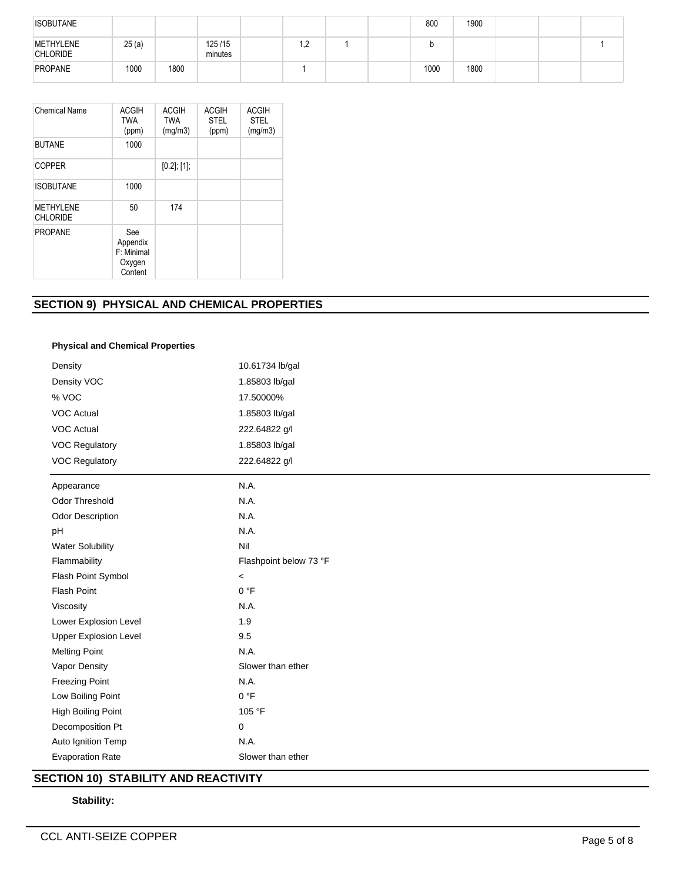| <b>ISOBUTANE</b>             |       |      |                   |     |  | 800  | 1900 |  |  |
|------------------------------|-------|------|-------------------|-----|--|------|------|--|--|
| METHYLENE<br><b>CHLORIDE</b> | 25(a) |      | 125/15<br>minutes | 1,2 |  |      |      |  |  |
| PROPANE                      | 1000  | 1800 |                   |     |  | 1000 | 1800 |  |  |

| <b>Chemical Name</b>                | <b>ACGIH</b><br><b>TWA</b><br>(ppm)                | <b>ACGIH</b><br><b>TWA</b><br>(mg/m3) | <b>ACGIH</b><br><b>STEL</b><br>(ppm) | <b>ACGIH</b><br><b>STEL</b><br>(mg/m3) |
|-------------------------------------|----------------------------------------------------|---------------------------------------|--------------------------------------|----------------------------------------|
| <b>BUTANE</b>                       | 1000                                               |                                       |                                      |                                        |
| <b>COPPER</b>                       |                                                    | $[0.2]$ ; $[1]$ ;                     |                                      |                                        |
| <b>ISOBUTANE</b>                    | 1000                                               |                                       |                                      |                                        |
| <b>METHYLENE</b><br><b>CHLORIDE</b> | 50                                                 | 174                                   |                                      |                                        |
| <b>PROPANE</b>                      | See<br>Appendix<br>F: Minimal<br>Oxygen<br>Content |                                       |                                      |                                        |

# **SECTION 9) PHYSICAL AND CHEMICAL PROPERTIES**

# **Physical and Chemical Properties**

| Density                      | 10.61734 lb/gal        |  |  |  |  |  |
|------------------------------|------------------------|--|--|--|--|--|
| Density VOC                  | 1.85803 lb/gal         |  |  |  |  |  |
| % VOC                        | 17.50000%              |  |  |  |  |  |
| <b>VOC Actual</b>            | 1.85803 lb/gal         |  |  |  |  |  |
| <b>VOC Actual</b>            | 222.64822 g/l          |  |  |  |  |  |
| <b>VOC Regulatory</b>        | 1.85803 lb/gal         |  |  |  |  |  |
| VOC Regulatory               | 222.64822 g/l          |  |  |  |  |  |
| Appearance                   | N.A.                   |  |  |  |  |  |
| <b>Odor Threshold</b>        | N.A.                   |  |  |  |  |  |
| <b>Odor Description</b>      | N.A.                   |  |  |  |  |  |
| pH                           | N.A.                   |  |  |  |  |  |
| <b>Water Solubility</b>      | Nil                    |  |  |  |  |  |
| Flammability                 | Flashpoint below 73 °F |  |  |  |  |  |
| Flash Point Symbol           | $\,<\,$                |  |  |  |  |  |
| <b>Flash Point</b>           | 0 °F                   |  |  |  |  |  |
| Viscosity                    | N.A.                   |  |  |  |  |  |
| Lower Explosion Level        | 1.9                    |  |  |  |  |  |
| <b>Upper Explosion Level</b> | 9.5                    |  |  |  |  |  |
| <b>Melting Point</b>         | N.A.                   |  |  |  |  |  |
| Vapor Density                | Slower than ether      |  |  |  |  |  |
| <b>Freezing Point</b>        | N.A.                   |  |  |  |  |  |
| Low Boiling Point            | 0 °F                   |  |  |  |  |  |
| High Boiling Point           | 105 °F                 |  |  |  |  |  |
| Decomposition Pt             | 0                      |  |  |  |  |  |
| Auto Ignition Temp           | N.A.                   |  |  |  |  |  |
| <b>Evaporation Rate</b>      | Slower than ether      |  |  |  |  |  |

# **SECTION 10) STABILITY AND REACTIVITY**

# **Stability:**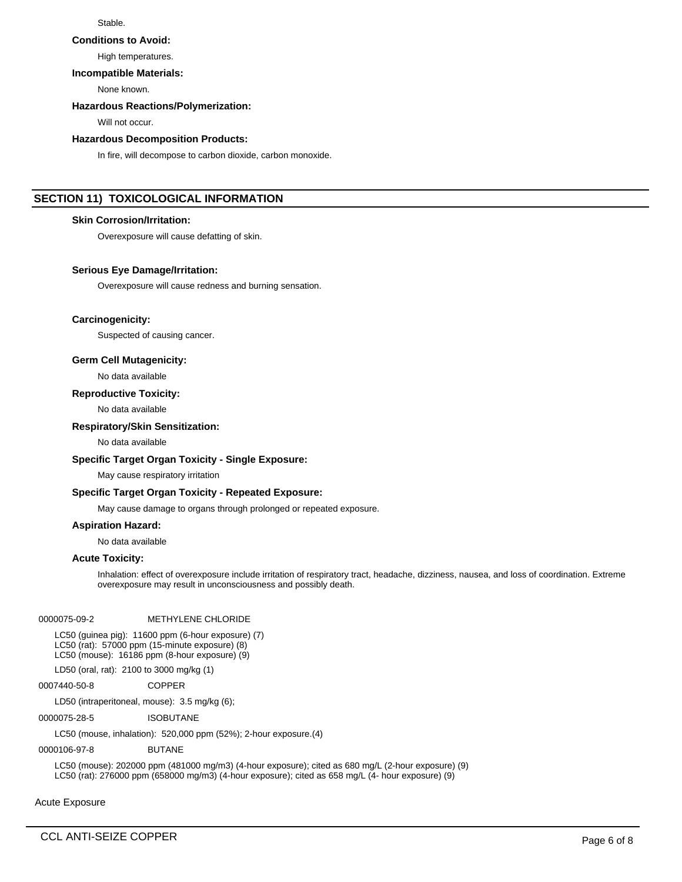# Stable.

#### **Conditions to Avoid:**

High temperatures.

# **Incompatible Materials:**

None known.

# **Hazardous Reactions/Polymerization:**

Will not occur.

#### **Hazardous Decomposition Products:**

In fire, will decompose to carbon dioxide, carbon monoxide.

# **SECTION 11) TOXICOLOGICAL INFORMATION**

# **Skin Corrosion/Irritation:**

Overexposure will cause defatting of skin.

#### **Serious Eye Damage/Irritation:**

Overexposure will cause redness and burning sensation.

#### **Carcinogenicity:**

Suspected of causing cancer.

## **Germ Cell Mutagenicity:**

No data available

## **Reproductive Toxicity:**

No data available

#### **Respiratory/Skin Sensitization:**

No data available

# **Specific Target Organ Toxicity - Single Exposure:**

May cause respiratory irritation

#### **Specific Target Organ Toxicity - Repeated Exposure:**

May cause damage to organs through prolonged or repeated exposure.

## **Aspiration Hazard:**

No data available

# **Acute Toxicity:**

Inhalation: effect of overexposure include irritation of respiratory tract, headache, dizziness, nausea, and loss of coordination. Extreme overexposure may result in unconsciousness and possibly death.

## 0000075-09-2 METHYLENE CHLORIDE

LC50 (guinea pig): 11600 ppm (6-hour exposure) (7) LC50 (rat): 57000 ppm (15-minute exposure) (8) LC50 (mouse): 16186 ppm (8-hour exposure) (9)

LD50 (oral, rat): 2100 to 3000 mg/kg (1)

## 0007440-50-8 COPPER

LD50 (intraperitoneal, mouse): 3.5 mg/kg (6);

0000075-28-5 ISOBUTANE

LC50 (mouse, inhalation): 520,000 ppm (52%); 2-hour exposure.(4)

# 0000106-97-8 BUTANE

LC50 (mouse): 202000 ppm (481000 mg/m3) (4-hour exposure); cited as 680 mg/L (2-hour exposure) (9) LC50 (rat): 276000 ppm (658000 mg/m3) (4-hour exposure); cited as 658 mg/L (4- hour exposure) (9)

Acute Exposure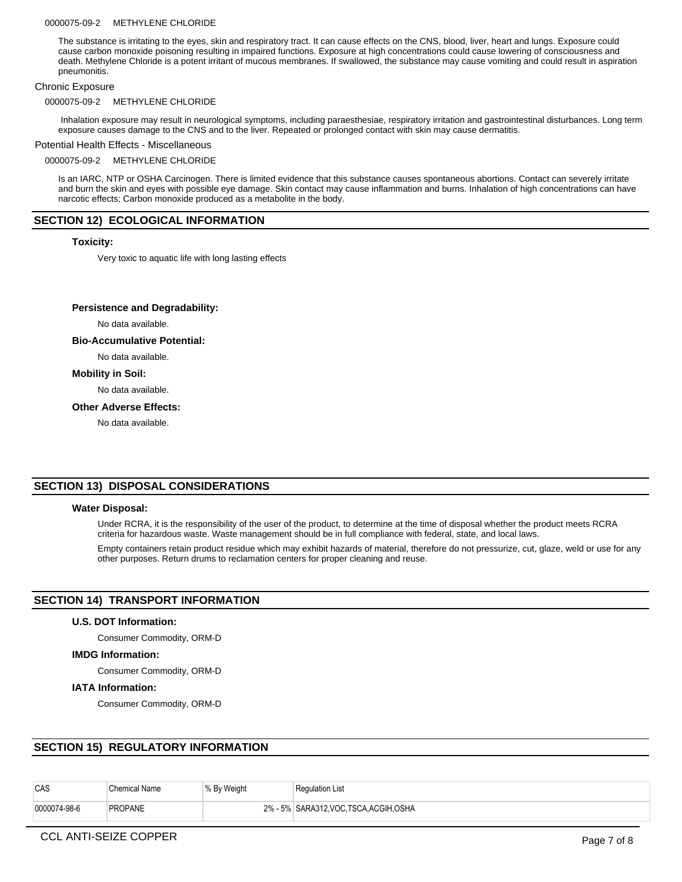#### 0000075-09-2 METHYLENE CHLORIDE

The substance is irritating to the eyes, skin and respiratory tract. It can cause effects on the CNS, blood, liver, heart and lungs. Exposure could cause carbon monoxide poisoning resulting in impaired functions. Exposure at high concentrations could cause lowering of consciousness and death. Methylene Chloride is a potent irritant of mucous membranes. If swallowed, the substance may cause vomiting and could result in aspiration pneumonitis.

#### Chronic Exposure

#### 0000075-09-2 METHYLENE CHLORIDE

 Inhalation exposure may result in neurological symptoms, including paraesthesiae, respiratory irritation and gastrointestinal disturbances. Long term exposure causes damage to the CNS and to the liver. Repeated or prolonged contact with skin may cause dermatitis.

# Potential Health Effects - Miscellaneous

#### 0000075-09-2 METHYLENE CHLORIDE

Is an IARC, NTP or OSHA Carcinogen. There is limited evidence that this substance causes spontaneous abortions. Contact can severely irritate and burn the skin and eyes with possible eye damage. Skin contact may cause inflammation and burns. Inhalation of high concentrations can have narcotic effects; Carbon monoxide produced as a metabolite in the body.

# **SECTION 12) ECOLOGICAL INFORMATION**

#### **Toxicity:**

Very toxic to aquatic life with long lasting effects

#### **Persistence and Degradability:**

No data available.

#### **Bio-Accumulative Potential:**

No data available.

# **Mobility in Soil:**

No data available.

#### **Other Adverse Effects:**

No data available.

# **SECTION 13) DISPOSAL CONSIDERATIONS**

#### **Water Disposal:**

Under RCRA, it is the responsibility of the user of the product, to determine at the time of disposal whether the product meets RCRA criteria for hazardous waste. Waste management should be in full compliance with federal, state, and local laws.

Empty containers retain product residue which may exhibit hazards of material, therefore do not pressurize, cut, glaze, weld or use for any other purposes. Return drums to reclamation centers for proper cleaning and reuse.

# **SECTION 14) TRANSPORT INFORMATION**

#### **U.S. DOT Information:**

Consumer Commodity, ORM-D

#### **IMDG Information:**

Consumer Commodity, ORM-D

#### **IATA Information:**

Consumer Commodity, ORM-D

# **SECTION 15) REGULATORY INFORMATION**

| CAS          | <b>Chemical Name</b> | % By Weight | <b>Regulation List</b>                 |
|--------------|----------------------|-------------|----------------------------------------|
| 0000074-98-6 | <b>PROPANE</b>       |             | 2% - 5% SARA312, VOC TSCA, ACGIH, OSHA |